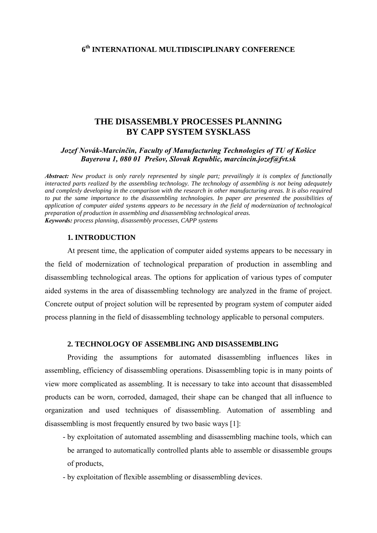# **THE DISASSEMBLY PROCESSES PLANNING BY CAPP SYSTEM SYSKLASS**

# *Jozef Novák-Marcinčin, Faculty of Manufacturing Technologies of TU of Košice Bayerova 1, 080 01 Prešov, Slovak Republic, marcincin.jozef@fvt.sk*

*Abstract: New product is only rarely represented by single part; prevailingly it is complex of functionally interacted parts realized by the assembling technology. The technology of assembling is not being adequately and complexly developing in the comparison with the research in other manufacturing areas. It is also required to put the same importance to the disassembling technologies. In paper are presented the possibilities of application of computer aided systems appears to be necessary in the field of modernization of technological preparation of production in assembling and disassembling technological areas. Keywords: process planning, disassembly processes, CAPP systems* 

## **1. INTRODUCTION**

At present time, the application of computer aided systems appears to be necessary in the field of modernization of technological preparation of production in assembling and disassembling technological areas. The options for application of various types of computer aided systems in the area of disassembling technology are analyzed in the frame of project. Concrete output of project solution will be represented by program system of computer aided process planning in the field of disassembling technology applicable to personal computers.

## **2. TECHNOLOGY OF ASSEMBLING AND DISASSEMBLING**

Providing the assumptions for automated disassembling influences likes in assembling, efficiency of disassembling operations. Disassembling topic is in many points of view more complicated as assembling. It is necessary to take into account that disassembled products can be worn, corroded, damaged, their shape can be changed that all influence to organization and used techniques of disassembling. Automation of assembling and disassembling is most frequently ensured by two basic ways [1]:

- by exploitation of automated assembling and disassembling machine tools, which can be arranged to automatically controlled plants able to assemble or disassemble groups of products,
- by exploitation of flexible assembling or disassembling devices.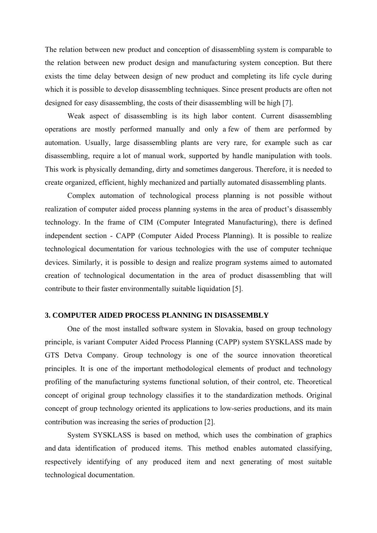The relation between new product and conception of disassembling system is comparable to the relation between new product design and manufacturing system conception. But there exists the time delay between design of new product and completing its life cycle during which it is possible to develop disassembling techniques. Since present products are often not designed for easy disassembling, the costs of their disassembling will be high [7].

Weak aspect of disassembling is its high labor content. Current disassembling operations are mostly performed manually and only a few of them are performed by automation. Usually, large disassembling plants are very rare, for example such as car disassembling, require a lot of manual work, supported by handle manipulation with tools. This work is physically demanding, dirty and sometimes dangerous. Therefore, it is needed to create organized, efficient, highly mechanized and partially automated disassembling plants.

Complex automation of technological process planning is not possible without realization of computer aided process planning systems in the area of product's disassembly technology. In the frame of CIM (Computer Integrated Manufacturing), there is defined independent section - CAPP (Computer Aided Process Planning). It is possible to realize technological documentation for various technologies with the use of computer technique devices. Similarly, it is possible to design and realize program systems aimed to automated creation of technological documentation in the area of product disassembling that will contribute to their faster environmentally suitable liquidation [5].

#### **3. COMPUTER AIDED PROCESS PLANNING IN DISASSEMBLY**

One of the most installed software system in Slovakia, based on group technology principle, is variant Computer Aided Process Planning (CAPP) system SYSKLASS made by GTS Detva Company. Group technology is one of the source innovation theoretical principles. It is one of the important methodological elements of product and technology profiling of the manufacturing systems functional solution, of their control, etc. Theoretical concept of original group technology classifies it to the standardization methods. Original concept of group technology oriented its applications to low-series productions, and its main contribution was increasing the series of production [2].

System SYSKLASS is based on method, which uses the combination of graphics and data identification of produced items. This method enables automated classifying, respectively identifying of any produced item and next generating of most suitable technological documentation.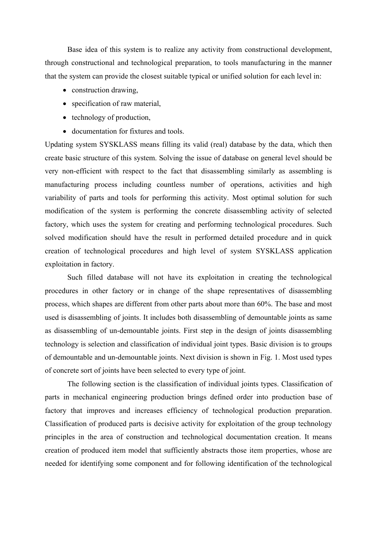Base idea of this system is to realize any activity from constructional development, through constructional and technological preparation, to tools manufacturing in the manner that the system can provide the closest suitable typical or unified solution for each level in:

- construction drawing,
- specification of raw material,
- technology of production,
- documentation for fixtures and tools.

Updating system SYSKLASS means filling its valid (real) database by the data, which then create basic structure of this system. Solving the issue of database on general level should be very non-efficient with respect to the fact that disassembling similarly as assembling is manufacturing process including countless number of operations, activities and high variability of parts and tools for performing this activity. Most optimal solution for such modification of the system is performing the concrete disassembling activity of selected factory, which uses the system for creating and performing technological procedures. Such solved modification should have the result in performed detailed procedure and in quick creation of technological procedures and high level of system SYSKLASS application exploitation in factory.

Such filled database will not have its exploitation in creating the technological procedures in other factory or in change of the shape representatives of disassembling process, which shapes are different from other parts about more than 60%. The base and most used is disassembling of joints. It includes both disassembling of demountable joints as same as disassembling of un-demountable joints. First step in the design of joints disassembling technology is selection and classification of individual joint types. Basic division is to groups of demountable and un-demountable joints. Next division is shown in Fig. 1. Most used types of concrete sort of joints have been selected to every type of joint.

The following section is the classification of individual joints types. Classification of parts in mechanical engineering production brings defined order into production base of factory that improves and increases efficiency of technological production preparation. Classification of produced parts is decisive activity for exploitation of the group technology principles in the area of construction and technological documentation creation. It means creation of produced item model that sufficiently abstracts those item properties, whose are needed for identifying some component and for following identification of the technological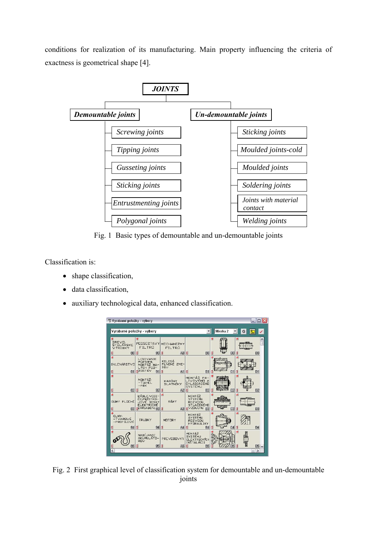conditions for realization of its manufacturing. Main property influencing the criteria of exactness is geometrical shape [4].



Fig. 1 Basic types of demountable and un-demountable joints

Classification is:

- shape classification,
- data classification.
- auxiliary technological data, enhanced classification.



Fig. 2 First graphical level of classification system for demountable and un-demountable joints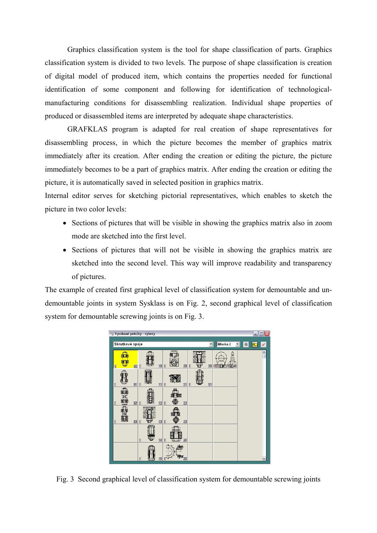Graphics classification system is the tool for shape classification of parts. Graphics classification system is divided to two levels. The purpose of shape classification is creation of digital model of produced item, which contains the properties needed for functional identification of some component and following for identification of technologicalmanufacturing conditions for disassembling realization. Individual shape properties of produced or disassembled items are interpreted by adequate shape characteristics.

GRAFKLAS program is adapted for real creation of shape representatives for disassembling process, in which the picture becomes the member of graphics matrix immediately after its creation. After ending the creation or editing the picture, the picture immediately becomes to be a part of graphics matrix. After ending the creation or editing the picture, it is automatically saved in selected position in graphics matrix.

Internal editor serves for sketching pictorial representatives, which enables to sketch the picture in two color levels:

- Sections of pictures that will be visible in showing the graphics matrix also in zoom mode are sketched into the first level.
- Sections of pictures that will not be visible in showing the graphics matrix are sketched into the second level. This way will improve readability and transparency of pictures.

The example of created first graphical level of classification system for demountable and undemountable joints in system Sysklass is on Fig. 2, second graphical level of classification system for demountable screwing joints is on Fig. 3.



Fig. 3 Second graphical level of classification system for demountable screwing joints